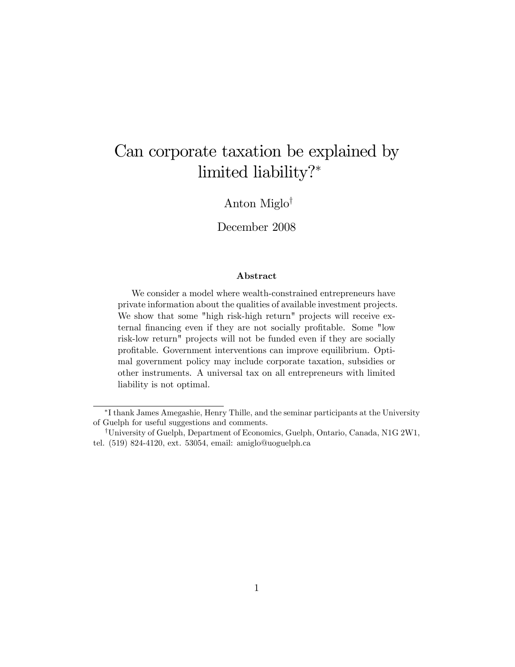# Can corporate taxation be explained by limited liability?

Anton Miglo<sup> $\dagger$ </sup>

December 2008

#### Abstract

We consider a model where wealth-constrained entrepreneurs have private information about the qualities of available investment projects. We show that some "high risk-high return" projects will receive external financing even if they are not socially profitable. Some "low risk-low return" projects will not be funded even if they are socially profitable. Government interventions can improve equilibrium. Optimal government policy may include corporate taxation, subsidies or other instruments. A universal tax on all entrepreneurs with limited liability is not optimal.

I thank James Amegashie, Henry Thille, and the seminar participants at the University of Guelph for useful suggestions and comments.

<sup>&</sup>lt;sup>†</sup>University of Guelph, Department of Economics, Guelph, Ontario, Canada, N1G 2W1, tel. (519) 824-4120, ext. 53054, email: amiglo@uoguelph.ca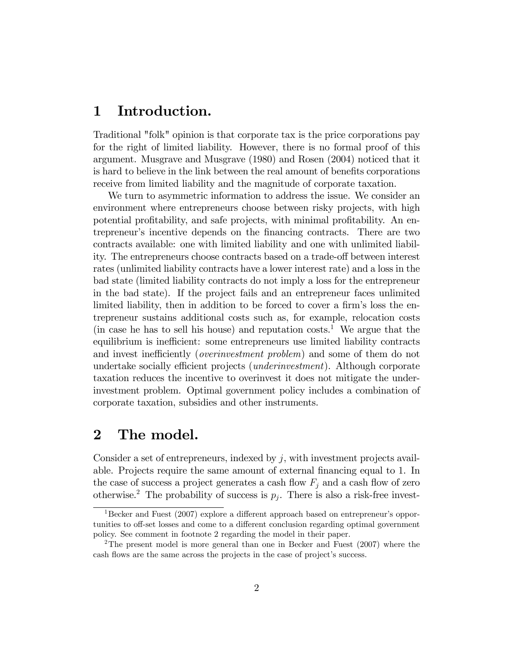#### 1 Introduction.

Traditional "folk" opinion is that corporate tax is the price corporations pay for the right of limited liability. However, there is no formal proof of this argument. Musgrave and Musgrave (1980) and Rosen (2004) noticed that it is hard to believe in the link between the real amount of benefits corporations receive from limited liability and the magnitude of corporate taxation.

We turn to asymmetric information to address the issue. We consider an environment where entrepreneurs choose between risky projects, with high potential profitability, and safe projects, with minimal profitability. An entrepreneurís incentive depends on the Önancing contracts. There are two contracts available: one with limited liability and one with unlimited liability. The entrepreneurs choose contracts based on a trade-off between interest rates (unlimited liability contracts have a lower interest rate) and a loss in the bad state (limited liability contracts do not imply a loss for the entrepreneur in the bad state). If the project fails and an entrepreneur faces unlimited limited liability, then in addition to be forced to cover a firm's loss the entrepreneur sustains additional costs such as, for example, relocation costs (in case he has to sell his house) and reputation  $\cos t s$ <sup>1</sup>. We argue that the equilibrium is inefficient: some entrepreneurs use limited liability contracts and invest inefficiently (*overinvestment problem*) and some of them do not undertake socially efficient projects *(underinvestment)*. Although corporate taxation reduces the incentive to overinvest it does not mitigate the underinvestment problem. Optimal government policy includes a combination of corporate taxation, subsidies and other instruments.

### 2 The model.

Consider a set of entrepreneurs, indexed by  $j$ , with investment projects available. Projects require the same amount of external financing equal to 1. In the case of success a project generates a cash flow  $F_i$  and a cash flow of zero otherwise.<sup>2</sup> The probability of success is  $p_j$ . There is also a risk-free invest-

 $1$ Becker and Fuest (2007) explore a different approach based on entrepreneur's opportunities to off-set losses and come to a different conclusion regarding optimal government policy. See comment in footnote 2 regarding the model in their paper.

<sup>&</sup>lt;sup>2</sup>The present model is more general than one in Becker and Fuest (2007) where the cash flows are the same across the projects in the case of project's success.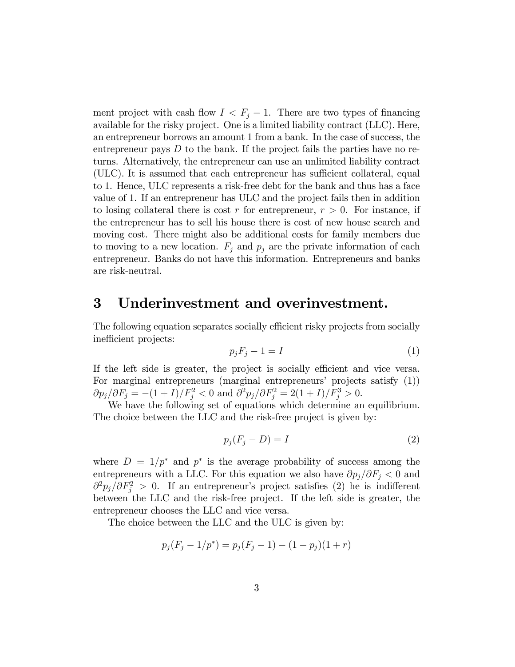ment project with cash flow  $I < F_j - 1$ . There are two types of financing available for the risky project. One is a limited liability contract (LLC). Here, an entrepreneur borrows an amount 1 from a bank. In the case of success, the entrepreneur pays  $D$  to the bank. If the project fails the parties have no returns. Alternatively, the entrepreneur can use an unlimited liability contract (ULC). It is assumed that each entrepreneur has sufficient collateral, equal to 1. Hence, ULC represents a risk-free debt for the bank and thus has a face value of 1. If an entrepreneur has ULC and the project fails then in addition to losing collateral there is cost r for entrepreneur,  $r > 0$ . For instance, if the entrepreneur has to sell his house there is cost of new house search and moving cost. There might also be additional costs for family members due to moving to a new location.  $F_j$  and  $p_j$  are the private information of each entrepreneur. Banks do not have this information. Entrepreneurs and banks are risk-neutral.

#### 3 Underinvestment and overinvestment.

The following equation separates socially efficient risky projects from socially inefficient projects:

$$
p_j F_j - 1 = I \tag{1}
$$

If the left side is greater, the project is socially efficient and vice versa. For marginal entrepreneurs (marginal entrepreneurs' projects satisfy  $(1)$ )  $\partial p_j/\partial F_j = -(1+I)/F_j^2 < 0$  and  $\partial^2 p_j/\partial F_j^2 = 2(1+I)/F_j^3 > 0$ .

We have the following set of equations which determine an equilibrium. The choice between the LLC and the risk-free project is given by:

$$
p_j(F_j - D) = I \tag{2}
$$

where  $D = 1/p^*$  and  $p^*$  is the average probability of success among the entrepreneurs with a LLC. For this equation we also have  $\partial p_j/\partial F_j < 0$  and  $\partial^2 p_j/\partial F_j^2 > 0$ . If an entrepreneur's project satisfies (2) he is indifferent between the LLC and the risk-free project. If the left side is greater, the entrepreneur chooses the LLC and vice versa.

The choice between the LLC and the ULC is given by:

$$
p_j(F_j - 1/p^*) = p_j(F_j - 1) - (1 - p_j)(1 + r)
$$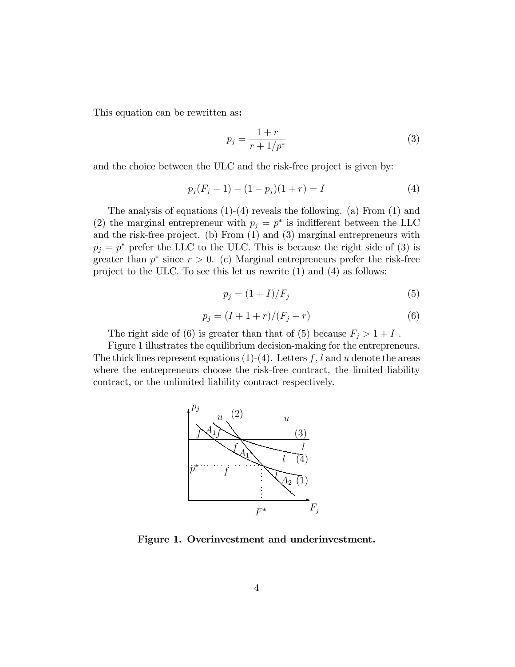This equation can be rewritten as:

$$
p_j = \frac{1+r}{r+1/p^*} \tag{3}
$$

and the choice between the ULC and the risk-free project is given by:

$$
p_j(F_j - 1) - (1 - p_j)(1 + r) = I \tag{4}
$$

The analysis of equations  $(1)-(4)$  reveals the following.  $(a)$  From  $(1)$  and (2) the marginal entrepreneur with  $p_j = p^*$  is indifferent between the LLC and the risk-free project. (b) From (1) and (3) marginal entrepreneurs with  $p_j = p^*$  prefer the LLC to the ULC. This is because the right side of (3) is greater than  $p^*$  since  $r > 0$ . (c) Marginal entrepreneurs prefer the risk-free project to the ULC. To see this let us rewrite (1) and (4) as follows:

$$
p_j = (1+I)/F_j \tag{5}
$$

$$
p_j = (I + 1 + r)/(F_j + r)
$$
\n(6)

The right side of (6) is greater than that of (5) because  $F_j > 1 + I$ .

Figure 1 illustrates the equilibrium decision-making for the entrepreneurs. The thick lines represent equations  $(1)-(4)$ . Letters f, l and u denote the areas where the entrepreneurs choose the risk-free contract, the limited liability contract, or the unlimited liability contract respectively.



Figure 1. Overinvestment and underinvestment.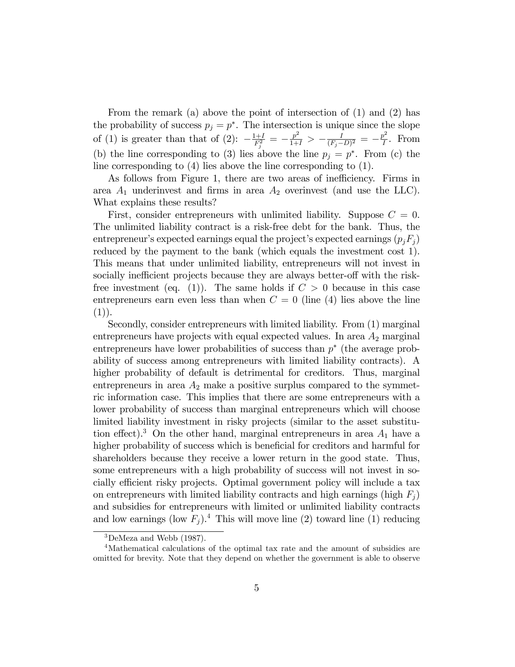From the remark (a) above the point of intersection of (1) and (2) has the probability of success  $p_j = p^*$ . The intersection is unique since the slope of (1) is greater than that of (2):  $-\frac{1+I}{F_1^2}$  $\frac{1+I}{F_j^2}\,=\,-\frac{p^2}{1+I}\,>\,-\frac{I}{(F_j-1)}$  $\frac{I}{(F_j-D)^2} = -\frac{p^2}{I}$  $\frac{\partial^2}{I}$ . From (b) the line corresponding to (3) lies above the line  $p_j = p^*$ . From (c) the line corresponding to (4) lies above the line corresponding to (1).

As follows from Figure 1, there are two areas of inefficiency. Firms in area  $A_1$  underinvest and firms in area  $A_2$  overinvest (and use the LLC). What explains these results?

First, consider entrepreneurs with unlimited liability. Suppose  $C = 0$ . The unlimited liability contract is a risk-free debt for the bank. Thus, the entrepreneur's expected earnings equal the project's expected earnings  $(p_i F_i)$ reduced by the payment to the bank (which equals the investment cost 1). This means that under unlimited liability, entrepreneurs will not invest in socially inefficient projects because they are always better-off with the riskfree investment (eq. (1)). The same holds if  $C > 0$  because in this case entrepreneurs earn even less than when  $C = 0$  (line (4) lies above the line  $(1)$ ).

Secondly, consider entrepreneurs with limited liability. From (1) marginal entrepreneurs have projects with equal expected values. In area  $A_2$  marginal entrepreneurs have lower probabilities of success than  $p^*$  (the average probability of success among entrepreneurs with limited liability contracts). A higher probability of default is detrimental for creditors. Thus, marginal entrepreneurs in area  $A_2$  make a positive surplus compared to the symmetric information case. This implies that there are some entrepreneurs with a lower probability of success than marginal entrepreneurs which will choose limited liability investment in risky projects (similar to the asset substitution effect).<sup>3</sup> On the other hand, marginal entrepreneurs in area  $A_1$  have a higher probability of success which is beneficial for creditors and harmful for shareholders because they receive a lower return in the good state. Thus, some entrepreneurs with a high probability of success will not invest in socially efficient risky projects. Optimal government policy will include a tax on entrepreneurs with limited liability contracts and high earnings (high  $F_i$ ) and subsidies for entrepreneurs with limited or unlimited liability contracts and low earnings (low  $F_j$ ).<sup>4</sup> This will move line (2) toward line (1) reducing

 ${}^{3}$ DeMeza and Webb (1987).

<sup>4</sup>Mathematical calculations of the optimal tax rate and the amount of subsidies are omitted for brevity. Note that they depend on whether the government is able to observe